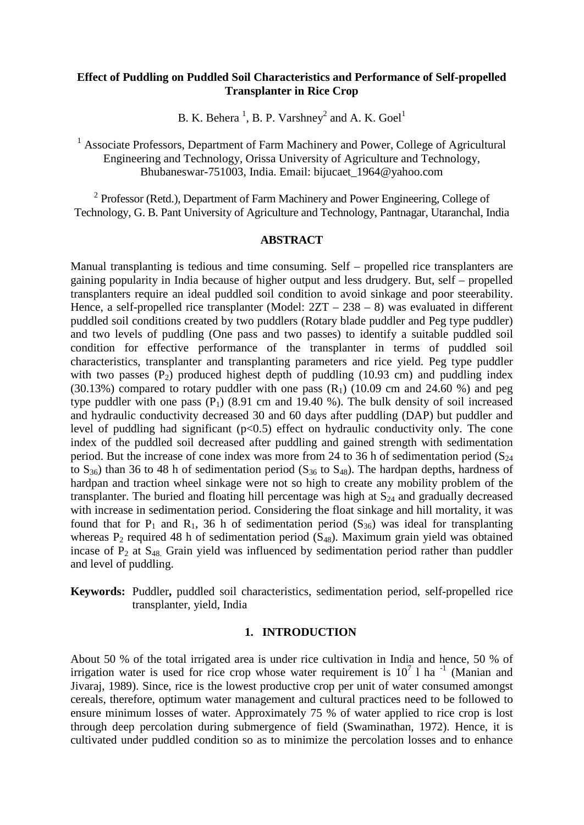### **Effect of Puddling on Puddled Soil Characteristics and Performance of Self-propelled Transplanter in Rice Crop**

B. K. Behera<sup>1</sup>, B. P. Varshney<sup>2</sup> and A. K. Goel<sup>1</sup>

<sup>1</sup> Associate Professors, Department of Farm Machinery and Power, College of Agricultural Engineering and Technology, Orissa University of Agriculture and Technology, Bhubaneswar-751003, India. Email: bijucaet\_1964@yahoo.com

<sup>2</sup> Professor (Retd.), Department of Farm Machinery and Power Engineering, College of Technology, G. B. Pant University of Agriculture and Technology, Pantnagar, Utaranchal, India

#### **ABSTRACT**

Manual transplanting is tedious and time consuming. Self – propelled rice transplanters are gaining popularity in India because of higher output and less drudgery. But, self – propelled transplanters require an ideal puddled soil condition to avoid sinkage and poor steerability. Hence, a self-propelled rice transplanter (Model:  $2ZT - 238 - 8$ ) was evaluated in different puddled soil conditions created by two puddlers (Rotary blade puddler and Peg type puddler) and two levels of puddling (One pass and two passes) to identify a suitable puddled soil condition for effective performance of the transplanter in terms of puddled soil characteristics, transplanter and transplanting parameters and rice yield. Peg type puddler with two passes  $(P_2)$  produced highest depth of puddling  $(10.93 \text{ cm})$  and puddling index (30.13%) compared to rotary puddler with one pass  $(R_1)$  (10.09 cm and 24.60 %) and peg type puddler with one pass  $(P_1)$  (8.91 cm and 19.40 %). The bulk density of soil increased and hydraulic conductivity decreased 30 and 60 days after puddling (DAP) but puddler and level of puddling had significant  $(p<0.5)$  effect on hydraulic conductivity only. The cone index of the puddled soil decreased after puddling and gained strength with sedimentation period. But the increase of cone index was more from 24 to 36 h of sedimentation period  $(S_{24}$ to  $S_{36}$ ) than 36 to 48 h of sedimentation period ( $S_{36}$  to  $S_{48}$ ). The hardpan depths, hardness of hardpan and traction wheel sinkage were not so high to create any mobility problem of the transplanter. The buried and floating hill percentage was high at  $S_{24}$  and gradually decreased with increase in sedimentation period. Considering the float sinkage and hill mortality, it was found that for  $P_1$  and  $R_1$ , 36 h of sedimentation period  $(S_{36})$  was ideal for transplanting whereas  $P_2$  required 48 h of sedimentation period (S<sub>48</sub>). Maximum grain yield was obtained incase of  $P_2$  at  $S_{48}$ . Grain yield was influenced by sedimentation period rather than puddler and level of puddling.

**Keywords:** Puddler**,** puddled soil characteristics, sedimentation period, self-propelled rice transplanter, yield, India

#### **1. INTRODUCTION**

About 50 % of the total irrigated area is under rice cultivation in India and hence, 50 % of irrigation water is used for rice crop whose water requirement is  $10^7$  l ha<sup>-1</sup> (Manian and Jivaraj, 1989). Since, rice is the lowest productive crop per unit of water consumed amongst cereals, therefore, optimum water management and cultural practices need to be followed to ensure minimum losses of water. Approximately 75 % of water applied to rice crop is lost through deep percolation during submergence of field (Swaminathan, 1972). Hence, it is cultivated under puddled condition so as to minimize the percolation losses and to enhance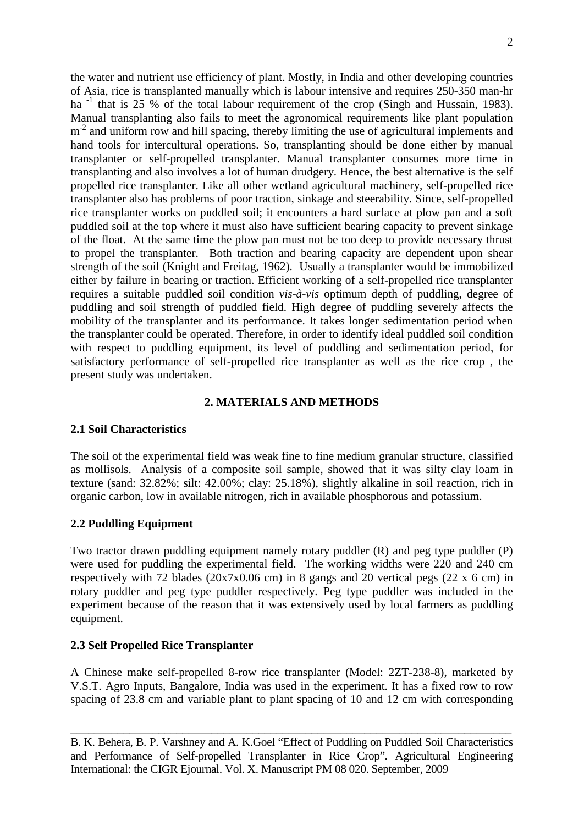the water and nutrient use efficiency of plant. Mostly, in India and other developing countries of Asia, rice is transplanted manually which is labour intensive and requires 250-350 man-hr ha<sup>-1</sup> that is 25 % of the total labour requirement of the crop (Singh and Hussain, 1983). Manual transplanting also fails to meet the agronomical requirements like plant population  $m<sup>2</sup>$  and uniform row and hill spacing, thereby limiting the use of agricultural implements and hand tools for intercultural operations. So, transplanting should be done either by manual transplanter or self-propelled transplanter. Manual transplanter consumes more time in transplanting and also involves a lot of human drudgery. Hence, the best alternative is the self propelled rice transplanter. Like all other wetland agricultural machinery, self-propelled rice transplanter also has problems of poor traction, sinkage and steerability. Since, self-propelled rice transplanter works on puddled soil; it encounters a hard surface at plow pan and a soft puddled soil at the top where it must also have sufficient bearing capacity to prevent sinkage of the float. At the same time the plow pan must not be too deep to provide necessary thrust to propel the transplanter. Both traction and bearing capacity are dependent upon shear strength of the soil (Knight and Freitag, 1962). Usually a transplanter would be immobilized either by failure in bearing or traction. Efficient working of a self-propelled rice transplanter requires a suitable puddled soil condition *vis-à-vis* optimum depth of puddling, degree of puddling and soil strength of puddled field. High degree of puddling severely affects the mobility of the transplanter and its performance. It takes longer sedimentation period when the transplanter could be operated. Therefore, in order to identify ideal puddled soil condition with respect to puddling equipment, its level of puddling and sedimentation period, for satisfactory performance of self-propelled rice transplanter as well as the rice crop , the present study was undertaken.

#### **2. MATERIALS AND METHODS**

#### **2.1 Soil Characteristics**

The soil of the experimental field was weak fine to fine medium granular structure, classified as mollisols. Analysis of a composite soil sample, showed that it was silty clay loam in texture (sand: 32.82%; silt: 42.00%; clay: 25.18%), slightly alkaline in soil reaction, rich in organic carbon, low in available nitrogen, rich in available phosphorous and potassium.

## **2.2 Puddling Equipment**

Two tractor drawn puddling equipment namely rotary puddler (R) and peg type puddler (P) were used for puddling the experimental field. The working widths were 220 and 240 cm respectively with 72 blades  $(20x7x0.06$  cm) in 8 gangs and 20 vertical pegs  $(22 \times 6$  cm) in rotary puddler and peg type puddler respectively. Peg type puddler was included in the experiment because of the reason that it was extensively used by local farmers as puddling equipment.

#### **2.3 Self Propelled Rice Transplanter**

A Chinese make self-propelled 8-row rice transplanter (Model: 2ZT-238-8), marketed by V.S.T. Agro Inputs, Bangalore, India was used in the experiment. It has a fixed row to row spacing of 23.8 cm and variable plant to plant spacing of 10 and 12 cm with corresponding

B. K. Behera, B. P. Varshney and A. K.Goel "Effect of Puddling on Puddled Soil Characteristics and Performance of Self-propelled Transplanter in Rice Crop". Agricultural Engineering International: the CIGR Ejournal. Vol. X. Manuscript PM 08 020. September, 2009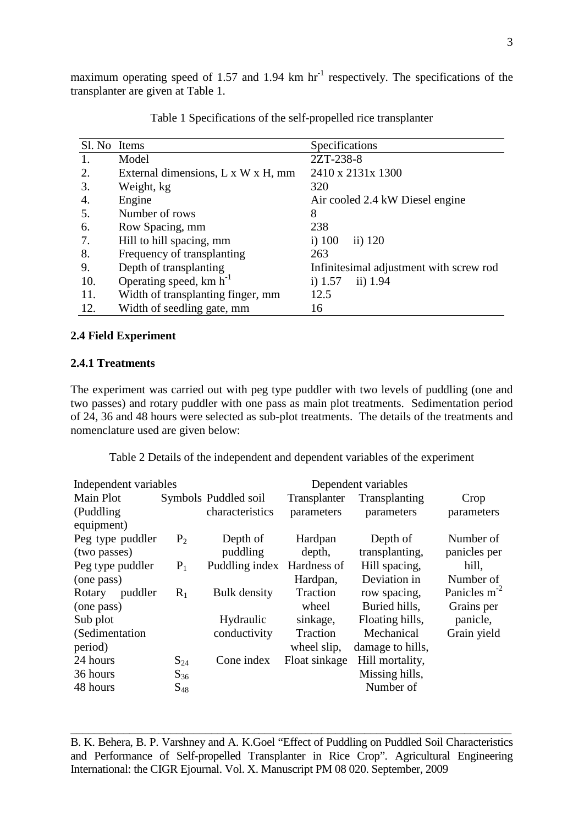maximum operating speed of 1.57 and 1.94 km  $hr<sup>-1</sup>$  respectively. The specifications of the transplanter are given at Table 1.

| Sl. No Items |                                    | Specifications                          |
|--------------|------------------------------------|-----------------------------------------|
| 1.           | Model                              | 2ZT-238-8                               |
| 2.           | External dimensions, L x W x H, mm | 2410 x 2131x 1300                       |
| 3.           | Weight, kg                         | 320                                     |
| 4.           | Engine                             | Air cooled 2.4 kW Diesel engine         |
| 5.           | Number of rows                     | 8                                       |
| 6.           | Row Spacing, mm                    | 238                                     |
| 7.           | Hill to hill spacing, mm           | $i)$ 100<br>ii) 120                     |
| 8.           | Frequency of transplanting         | 263                                     |
| 9.           | Depth of transplanting             | Infinitesimal adjustment with screw rod |
| 10.          | Operating speed, $km h^{-1}$       | i) $1.57$<br>ii) 1.94                   |
| 11.          | Width of transplanting finger, mm  | 12.5                                    |
| 12.          | Width of seedling gate, mm         | 16                                      |

Table 1 Specifications of the self-propelled rice transplanter

## **2.4 Field Experiment**

### **2.4.1 Treatments**

The experiment was carried out with peg type puddler with two levels of puddling (one and two passes) and rotary puddler with one pass as main plot treatments. Sedimentation period of 24, 36 and 48 hours were selected as sub-plot treatments. The details of the treatments and nomenclature used are given below:

Table 2 Details of the independent and dependent variables of the experiment

| Independent variables    |          |                            | Dependent variables |                  |                   |  |
|--------------------------|----------|----------------------------|---------------------|------------------|-------------------|--|
| Main Plot                |          | Symbols Puddled soil       | Transplanter        | Transplanting    | Crop              |  |
| (Puddling)<br>equipment) |          | characteristics            | parameters          | parameters       | parameters        |  |
| Peg type puddler         | $P_2$    | Depth of                   | Hardpan             | Depth of         | Number of         |  |
| (two passes)             |          | puddling                   | depth,              | transplanting,   | panicles per      |  |
| Peg type puddler         | $P_1$    | Puddling index Hardness of |                     | Hill spacing,    | hill,             |  |
| (one pass)               |          |                            | Hardpan,            | Deviation in     | Number of         |  |
| puddler<br>Rotary        | $R_1$    | <b>Bulk</b> density        | Traction            | row spacing,     | Panicles $m^{-2}$ |  |
| (one pass)               |          |                            | wheel               | Buried hills,    | Grains per        |  |
| Sub plot                 |          | Hydraulic                  | sinkage,            | Floating hills,  | panicle,          |  |
| (Sedimentation)          |          | conductivity               | Traction            | Mechanical       | Grain yield       |  |
| period)                  |          |                            | wheel slip,         | damage to hills, |                   |  |
| 24 hours                 | $S_{24}$ | Cone index                 | Float sinkage       | Hill mortality,  |                   |  |
| 36 hours                 | $S_{36}$ |                            |                     | Missing hills,   |                   |  |
| 48 hours                 | $S_{48}$ |                            |                     | Number of        |                   |  |

B. K. Behera, B. P. Varshney and A. K.Goel "Effect of Puddling on Puddled Soil Characteristics and Performance of Self-propelled Transplanter in Rice Crop". Agricultural Engineering International: the CIGR Ejournal. Vol. X. Manuscript PM 08 020. September, 2009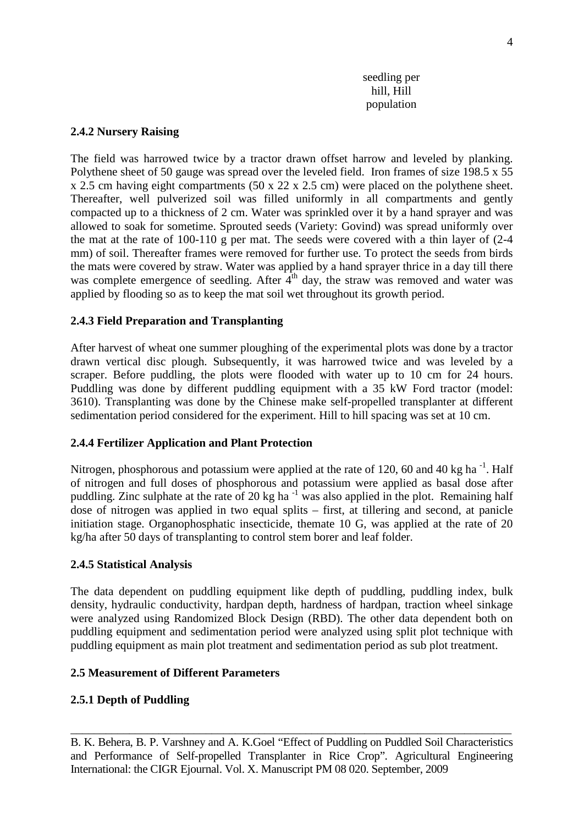seedling per hill, Hill population

### **2.4.2 Nursery Raising**

The field was harrowed twice by a tractor drawn offset harrow and leveled by planking. Polythene sheet of 50 gauge was spread over the leveled field. Iron frames of size 198.5 x 55 x 2.5 cm having eight compartments (50 x 22 x 2.5 cm) were placed on the polythene sheet. Thereafter, well pulverized soil was filled uniformly in all compartments and gently compacted up to a thickness of 2 cm. Water was sprinkled over it by a hand sprayer and was allowed to soak for sometime. Sprouted seeds (Variety: Govind) was spread uniformly over the mat at the rate of 100-110 g per mat. The seeds were covered with a thin layer of (2-4 mm) of soil. Thereafter frames were removed for further use. To protect the seeds from birds the mats were covered by straw. Water was applied by a hand sprayer thrice in a day till there was complete emergence of seedling. After  $4<sup>th</sup>$  day, the straw was removed and water was applied by flooding so as to keep the mat soil wet throughout its growth period.

## **2.4.3 Field Preparation and Transplanting**

After harvest of wheat one summer ploughing of the experimental plots was done by a tractor drawn vertical disc plough. Subsequently, it was harrowed twice and was leveled by a scraper. Before puddling, the plots were flooded with water up to 10 cm for 24 hours. Puddling was done by different puddling equipment with a 35 kW Ford tractor (model: 3610). Transplanting was done by the Chinese make self-propelled transplanter at different sedimentation period considered for the experiment. Hill to hill spacing was set at 10 cm.

#### **2.4.4 Fertilizer Application and Plant Protection**

Nitrogen, phosphorous and potassium were applied at the rate of 120, 60 and 40 kg ha<sup>-1</sup>. Half of nitrogen and full doses of phosphorous and potassium were applied as basal dose after puddling. Zinc sulphate at the rate of 20 kg ha<sup>-1</sup> was also applied in the plot. Remaining half dose of nitrogen was applied in two equal splits – first, at tillering and second, at panicle initiation stage. Organophosphatic insecticide, themate 10 G, was applied at the rate of 20 kg/ha after 50 days of transplanting to control stem borer and leaf folder.

#### **2.4.5 Statistical Analysis**

The data dependent on puddling equipment like depth of puddling, puddling index, bulk density, hydraulic conductivity, hardpan depth, hardness of hardpan, traction wheel sinkage were analyzed using Randomized Block Design (RBD). The other data dependent both on puddling equipment and sedimentation period were analyzed using split plot technique with puddling equipment as main plot treatment and sedimentation period as sub plot treatment.

#### **2.5 Measurement of Different Parameters**

#### **2.5.1 Depth of Puddling**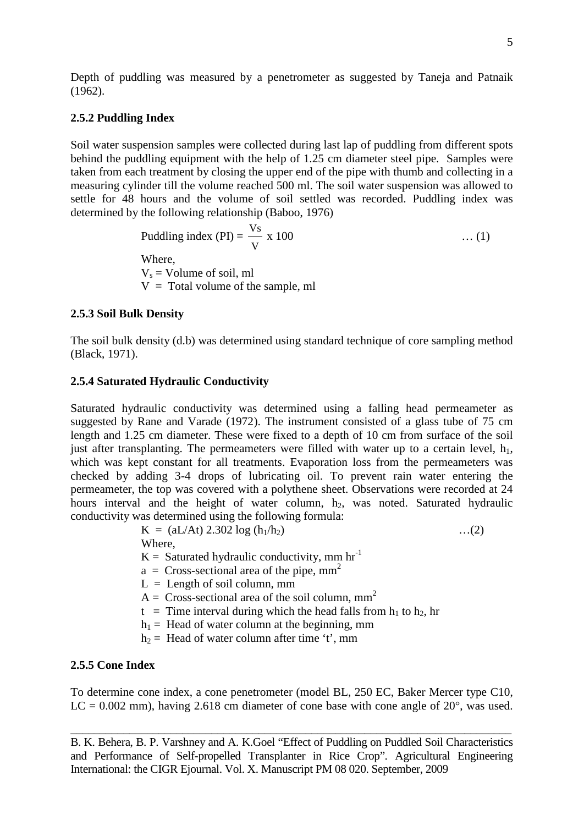Depth of puddling was measured by a penetrometer as suggested by Taneja and Patnaik (1962).

#### **2.5.2 Puddling Index**

Soil water suspension samples were collected during last lap of puddling from different spots behind the puddling equipment with the help of 1.25 cm diameter steel pipe. Samples were taken from each treatment by closing the upper end of the pipe with thumb and collecting in a measuring cylinder till the volume reached 500 ml. The soil water suspension was allowed to settle for 48 hours and the volume of soil settled was recorded. Puddling index was determined by the following relationship (Baboo, 1976)

Puddling index (PI) = 
$$
\frac{V_s}{V}
$$
 x 100 ... (1)  
Where,  
V<sub>s</sub> = Volume of soil, ml  
V = Total volume of the sample, ml

#### **2.5.3 Soil Bulk Density**

The soil bulk density (d.b) was determined using standard technique of core sampling method (Black, 1971).

### **2.5.4 Saturated Hydraulic Conductivity**

Saturated hydraulic conductivity was determined using a falling head permeameter as suggested by Rane and Varade (1972). The instrument consisted of a glass tube of 75 cm length and 1.25 cm diameter. These were fixed to a depth of 10 cm from surface of the soil just after transplanting. The permeameters were filled with water up to a certain level,  $h_1$ , which was kept constant for all treatments. Evaporation loss from the permeameters was checked by adding 3-4 drops of lubricating oil. To prevent rain water entering the permeameter, the top was covered with a polythene sheet. Observations were recorded at 24 hours interval and the height of water column,  $h_2$ , was noted. Saturated hydraulic conductivity was determined using the following formula:

> $K = (aL/At) 2.302 \log(h_1/h_2)$  …(2) Where,  $K =$  Saturated hydraulic conductivity, mm hr<sup>-1</sup>

- 
- $a = Cross-sectional area of the pipe,  $mm<sup>2</sup>$$
- $L =$  Length of soil column, mm
- $A = Cross-sectional area of the soil column. mm<sup>2</sup>$
- $t =$  Time interval during which the head falls from  $h_1$  to  $h_2$ , hr
- $h_1$  = Head of water column at the beginning, mm
- $h_2$  = Head of water column after time 't', mm

#### **2.5.5 Cone Index**

To determine cone index, a cone penetrometer (model BL, 250 EC, Baker Mercer type C10,  $LC = 0.002$  mm), having 2.618 cm diameter of cone base with cone angle of  $20^{\circ}$ , was used.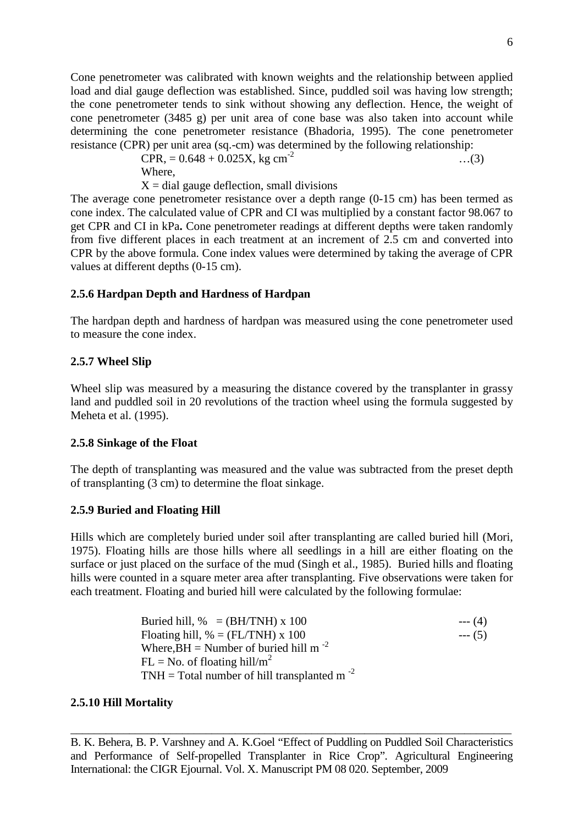Cone penetrometer was calibrated with known weights and the relationship between applied load and dial gauge deflection was established. Since, puddled soil was having low strength; the cone penetrometer tends to sink without showing any deflection. Hence, the weight of cone penetrometer (3485 g) per unit area of cone base was also taken into account while determining the cone penetrometer resistance (Bhadoria, 1995). The cone penetrometer resistance (CPR) per unit area (sq.-cm) was determined by the following relationship:

 $CPR$ , = 0.648 + 0.025X, kg cm<sup>-2</sup> …(3) Where,

 $X =$  dial gauge deflection, small divisions

The average cone penetrometer resistance over a depth range (0-15 cm) has been termed as cone index. The calculated value of CPR and CI was multiplied by a constant factor 98.067 to get CPR and CI in kPa**.** Cone penetrometer readings at different depths were taken randomly from five different places in each treatment at an increment of 2.5 cm and converted into CPR by the above formula. Cone index values were determined by taking the average of CPR values at different depths (0-15 cm).

## **2.5.6 Hardpan Depth and Hardness of Hardpan**

The hardpan depth and hardness of hardpan was measured using the cone penetrometer used to measure the cone index.

## **2.5.7 Wheel Slip**

Wheel slip was measured by a measuring the distance covered by the transplanter in grassy land and puddled soil in 20 revolutions of the traction wheel using the formula suggested by Meheta et al. (1995).

## **2.5.8 Sinkage of the Float**

The depth of transplanting was measured and the value was subtracted from the preset depth of transplanting (3 cm) to determine the float sinkage.

## **2.5.9 Buried and Floating Hill**

Hills which are completely buried under soil after transplanting are called buried hill (Mori, 1975). Floating hills are those hills where all seedlings in a hill are either floating on the surface or just placed on the surface of the mud (Singh et al., 1985). Buried hills and floating hills were counted in a square meter area after transplanting. Five observations were taken for each treatment. Floating and buried hill were calculated by the following formulae:

| Buried hill, $\% = (BH/TNH) \times 100$                 | $---(4)$ |
|---------------------------------------------------------|----------|
| Floating hill, $% = (FL/TNH) \times 100$                | $---(5)$ |
| Where, BH = Number of buried hill m <sup>-2</sup>       |          |
| $FL = No.$ of floating hill/m <sup>2</sup>              |          |
| TNH = Total number of hill transplanted m <sup>-2</sup> |          |

## **2.5.10 Hill Mortality**

\_\_\_\_\_\_\_\_\_\_\_\_\_\_\_\_\_\_\_\_\_\_\_\_\_\_\_\_\_\_\_\_\_\_\_\_\_\_\_\_\_\_\_\_\_\_\_\_\_\_\_\_\_\_\_\_\_\_\_\_\_\_\_\_\_\_\_\_\_\_\_\_\_\_\_ B. K. Behera, B. P. Varshney and A. K.Goel "Effect of Puddling on Puddled Soil Characteristics and Performance of Self-propelled Transplanter in Rice Crop". Agricultural Engineering International: the CIGR Ejournal. Vol. X. Manuscript PM 08 020. September, 2009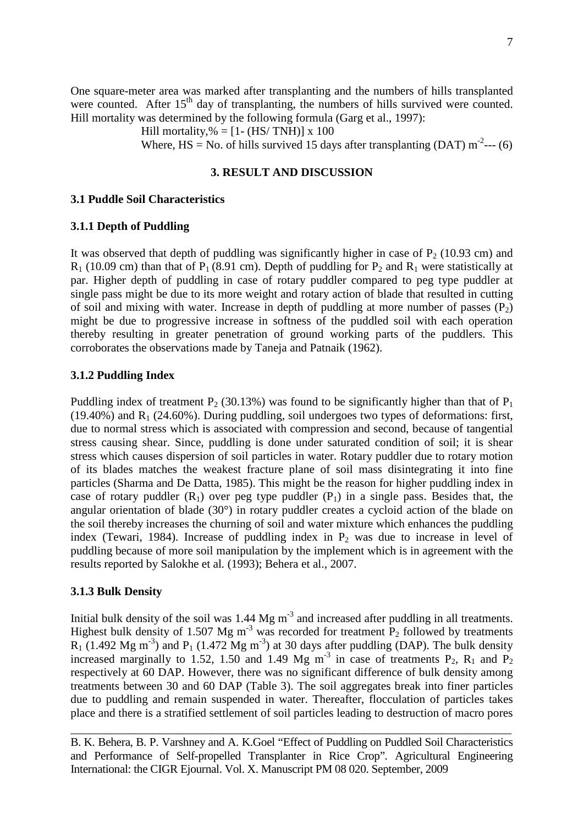One square-meter area was marked after transplanting and the numbers of hills transplanted were counted. After  $15<sup>th</sup>$  day of transplanting, the numbers of hills survived were counted. Hill mortality was determined by the following formula (Garg et al., 1997):

Hill mortality,  $% = [1 - (HS/TNH)] \times 100$ 

Where,  $\text{HS} = \text{No}$ . of hills survived 15 days after transplanting (DAT) m<sup>-2</sup>--- (6)

# **3. RESULT AND DISCUSSION**

#### **3.1 Puddle Soil Characteristics**

### **3.1.1 Depth of Puddling**

It was observed that depth of puddling was significantly higher in case of  $P_2$  (10.93 cm) and  $R_1$  (10.09 cm) than that of P<sub>1</sub> (8.91 cm). Depth of puddling for P<sub>2</sub> and R<sub>1</sub> were statistically at par. Higher depth of puddling in case of rotary puddler compared to peg type puddler at single pass might be due to its more weight and rotary action of blade that resulted in cutting of soil and mixing with water. Increase in depth of puddling at more number of passes  $(P_2)$ might be due to progressive increase in softness of the puddled soil with each operation thereby resulting in greater penetration of ground working parts of the puddlers. This corroborates the observations made by Taneja and Patnaik (1962).

## **3.1.2 Puddling Index**

Puddling index of treatment  $P_2$  (30.13%) was found to be significantly higher than that of  $P_1$  $(19.40\%)$  and R<sub>1</sub> (24.60%). During puddling, soil undergoes two types of deformations: first, due to normal stress which is associated with compression and second, because of tangential stress causing shear. Since, puddling is done under saturated condition of soil; it is shear stress which causes dispersion of soil particles in water. Rotary puddler due to rotary motion of its blades matches the weakest fracture plane of soil mass disintegrating it into fine particles (Sharma and De Datta, 1985). This might be the reason for higher puddling index in case of rotary puddler  $(R_1)$  over peg type puddler  $(P_1)$  in a single pass. Besides that, the angular orientation of blade (30°) in rotary puddler creates a cycloid action of the blade on the soil thereby increases the churning of soil and water mixture which enhances the puddling index (Tewari, 1984). Increase of puddling index in  $P_2$  was due to increase in level of puddling because of more soil manipulation by the implement which is in agreement with the results reported by Salokhe et al. (1993); Behera et al., 2007.

#### **3.1.3 Bulk Density**

Initial bulk density of the soil was 1.44 Mg m<sup>-3</sup> and increased after puddling in all treatments. Highest bulk density of 1.507 Mg  $m^{-3}$  was recorded for treatment P<sub>2</sub> followed by treatments  $R_1$  (1.492 Mg m<sup>-3</sup>) and P<sub>1</sub> (1.472 Mg m<sup>-3</sup>) at 30 days after puddling (DAP). The bulk density increased marginally to 1.52, 1.50 and 1.49 Mg  $m<sup>-3</sup>$  in case of treatments P<sub>2</sub>, R<sub>1</sub> and P<sub>2</sub> respectively at 60 DAP. However, there was no significant difference of bulk density among treatments between 30 and 60 DAP (Table 3). The soil aggregates break into finer particles due to puddling and remain suspended in water. Thereafter, flocculation of particles takes place and there is a stratified settlement of soil particles leading to destruction of macro pores

B. K. Behera, B. P. Varshney and A. K.Goel "Effect of Puddling on Puddled Soil Characteristics and Performance of Self-propelled Transplanter in Rice Crop". Agricultural Engineering International: the CIGR Ejournal. Vol. X. Manuscript PM 08 020. September, 2009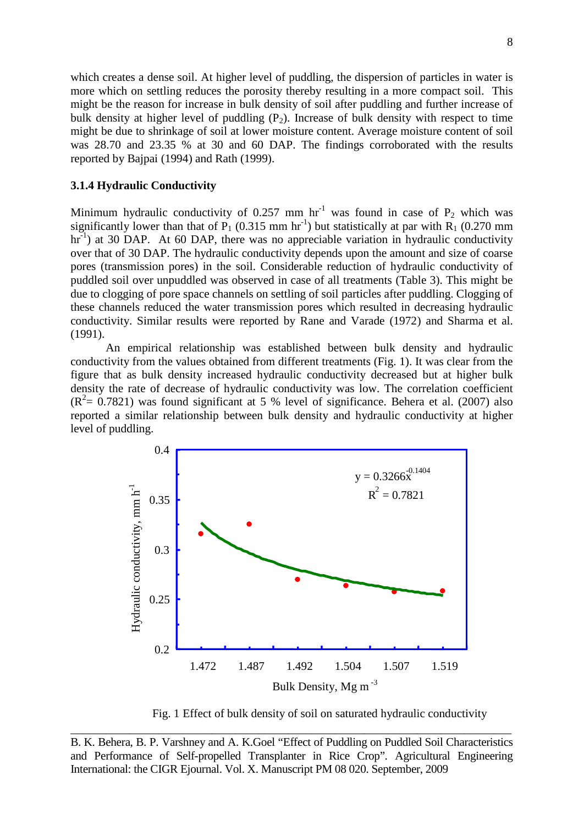which creates a dense soil. At higher level of puddling, the dispersion of particles in water is more which on settling reduces the porosity thereby resulting in a more compact soil. This might be the reason for increase in bulk density of soil after puddling and further increase of bulk density at higher level of puddling  $(P_2)$ . Increase of bulk density with respect to time might be due to shrinkage of soil at lower moisture content. Average moisture content of soil was 28.70 and 23.35 % at 30 and 60 DAP. The findings corroborated with the results reported by Bajpai (1994) and Rath (1999).

#### **3.1.4 Hydraulic Conductivity**

Minimum hydraulic conductivity of 0.257 mm hr<sup>-1</sup> was found in case of  $P_2$  which was significantly lower than that of  $P_1$  (0.315 mm hr<sup>-1</sup>) but statistically at par with  $R_1$  (0.270 mm  $hr^{-1}$ ) at 30 DAP. At 60 DAP, there was no appreciable variation in hydraulic conductivity over that of 30 DAP. The hydraulic conductivity depends upon the amount and size of coarse pores (transmission pores) in the soil. Considerable reduction of hydraulic conductivity of puddled soil over unpuddled was observed in case of all treatments (Table 3). This might be due to clogging of pore space channels on settling of soil particles after puddling. Clogging of these channels reduced the water transmission pores which resulted in decreasing hydraulic conductivity. Similar results were reported by Rane and Varade (1972) and Sharma et al. (1991).

An empirical relationship was established between bulk density and hydraulic conductivity from the values obtained from different treatments (Fig. 1). It was clear from the figure that as bulk density increased hydraulic conductivity decreased but at higher bulk density the rate of decrease of hydraulic conductivity was low. The correlation coefficient  $(R<sup>2</sup>= 0.7821)$  was found significant at 5 % level of significance. Behera et al. (2007) also reported a similar relationship between bulk density and hydraulic conductivity at higher level of puddling.



Fig. 1 Effect of bulk density of soil on saturated hydraulic conductivity

B. K. Behera, B. P. Varshney and A. K.Goel "Effect of Puddling on Puddled Soil Characteristics and Performance of Self-propelled Transplanter in Rice Crop". Agricultural Engineering International: the CIGR Ejournal. Vol. X. Manuscript PM 08 020. September, 2009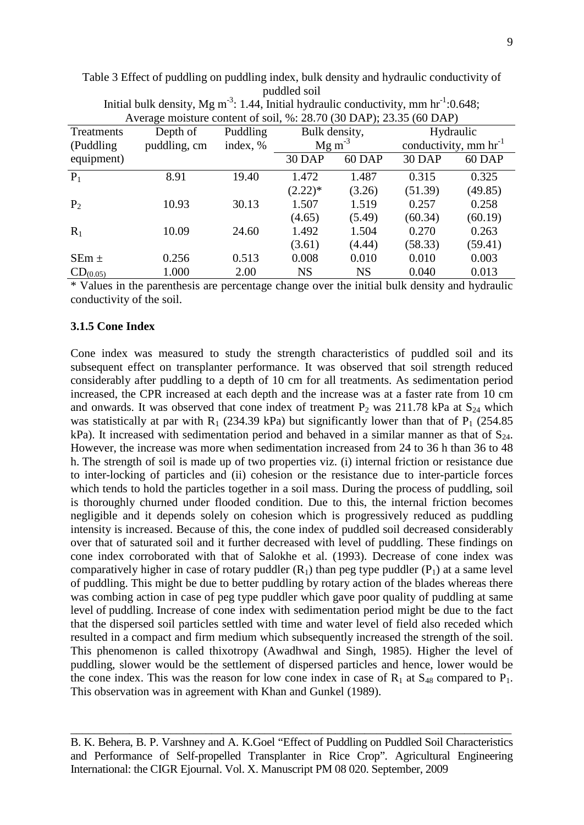| Initial bulk density, Mg m <sup>-3</sup> : 1.44, Initial hydraulic conductivity, mm hr <sup>-1</sup> :0.648; |              |          |                     |           |                            |         |  |  |  |  |
|--------------------------------------------------------------------------------------------------------------|--------------|----------|---------------------|-----------|----------------------------|---------|--|--|--|--|
| Average moisture content of soil, %: 28.70 (30 DAP); 23.35 (60 DAP)                                          |              |          |                     |           |                            |         |  |  |  |  |
| Treatments                                                                                                   | Depth of     | Puddling | Bulk density,       | Hydraulic |                            |         |  |  |  |  |
| (Puddling)                                                                                                   | puddling, cm | index, % | $Mg \text{ m}^{-3}$ |           | conductivity, mm $hr^{-1}$ |         |  |  |  |  |
| equipment)                                                                                                   |              |          | <b>30 DAP</b>       | 60 DAP    | 30 DAP                     | 60 DAP  |  |  |  |  |
| $P_1$                                                                                                        | 8.91         | 19.40    | 1.472               | 1.487     | 0.315                      | 0.325   |  |  |  |  |
|                                                                                                              |              |          | $(2.22)*$           | (3.26)    | (51.39)                    | (49.85) |  |  |  |  |
| P <sub>2</sub>                                                                                               | 10.93        | 30.13    | 1.507               | 1.519     | 0.257                      | 0.258   |  |  |  |  |
|                                                                                                              |              |          | (4.65)              | (5.49)    | (60.34)                    | (60.19) |  |  |  |  |
| $R_1$                                                                                                        | 10.09        | 24.60    | 1.492               | 1.504     | 0.270                      | 0.263   |  |  |  |  |
|                                                                                                              |              |          | (3.61)              | (4.44)    | (58.33)                    | (59.41) |  |  |  |  |
| $SEm \pm$                                                                                                    | 0.256        | 0.513    | 0.008               | 0.010     | 0.010                      | 0.003   |  |  |  |  |
| $CD_{(0.05)}$                                                                                                | 1.000        | 2.00     | <b>NS</b>           | <b>NS</b> | 0.040                      | 0.013   |  |  |  |  |

Table 3 Effect of puddling on puddling index, bulk density and hydraulic conductivity of puddled soil  $I$  in the density of  $I$  $1 -10.649$ 

\* Values in the parenthesis are percentage change over the initial bulk density and hydraulic conductivity of the soil.

#### **3.1.5 Cone Index**

Cone index was measured to study the strength characteristics of puddled soil and its subsequent effect on transplanter performance. It was observed that soil strength reduced considerably after puddling to a depth of 10 cm for all treatments. As sedimentation period increased, the CPR increased at each depth and the increase was at a faster rate from 10 cm and onwards. It was observed that cone index of treatment  $P_2$  was 211.78 kPa at  $S_{24}$  which was statistically at par with  $R_1$  (234.39 kPa) but significantly lower than that of  $P_1$  (254.85 kPa). It increased with sedimentation period and behaved in a similar manner as that of  $S_{24}$ . However, the increase was more when sedimentation increased from 24 to 36 h than 36 to 48 h. The strength of soil is made up of two properties viz. (i) internal friction or resistance due to inter-locking of particles and (ii) cohesion or the resistance due to inter-particle forces which tends to hold the particles together in a soil mass. During the process of puddling, soil is thoroughly churned under flooded condition. Due to this, the internal friction becomes negligible and it depends solely on cohesion which is progressively reduced as puddling intensity is increased. Because of this, the cone index of puddled soil decreased considerably over that of saturated soil and it further decreased with level of puddling. These findings on cone index corroborated with that of Salokhe et al. (1993). Decrease of cone index was comparatively higher in case of rotary puddler  $(R_1)$  than peg type puddler  $(P_1)$  at a same level of puddling. This might be due to better puddling by rotary action of the blades whereas there was combing action in case of peg type puddler which gave poor quality of puddling at same level of puddling. Increase of cone index with sedimentation period might be due to the fact that the dispersed soil particles settled with time and water level of field also receded which resulted in a compact and firm medium which subsequently increased the strength of the soil. This phenomenon is called thixotropy (Awadhwal and Singh, 1985). Higher the level of puddling, slower would be the settlement of dispersed particles and hence, lower would be the cone index. This was the reason for low cone index in case of  $R_1$  at  $S_{48}$  compared to  $P_1$ . This observation was in agreement with Khan and Gunkel (1989).

B. K. Behera, B. P. Varshney and A. K.Goel "Effect of Puddling on Puddled Soil Characteristics and Performance of Self-propelled Transplanter in Rice Crop". Agricultural Engineering International: the CIGR Ejournal. Vol. X. Manuscript PM 08 020. September, 2009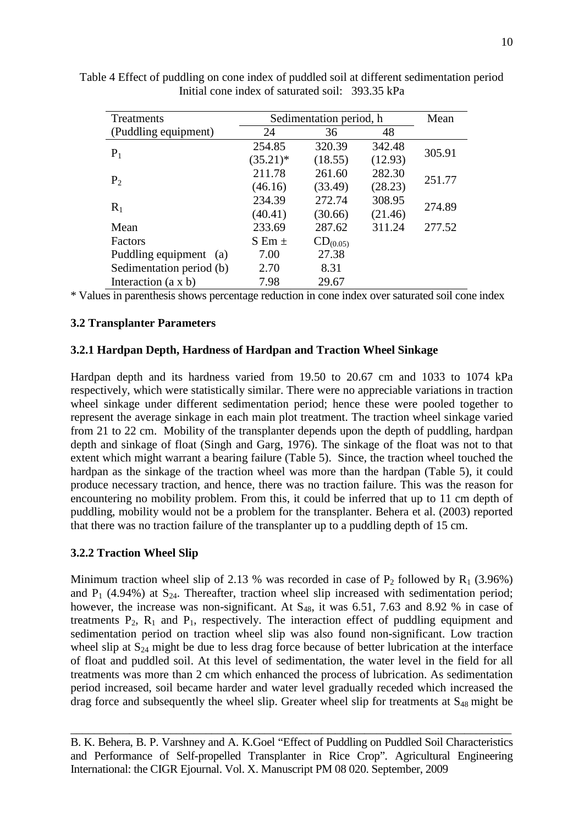| Treatments                 | Sedimentation period, h | Mean          |         |        |
|----------------------------|-------------------------|---------------|---------|--------|
| (Puddling equipment)       | 24                      | 36            | 48      |        |
| $P_1$                      | 254.85                  | 320.39        | 342.48  | 305.91 |
|                            | $(35.21)^*$             | (18.55)       | (12.93) |        |
|                            | 211.78                  | 261.60        | 282.30  | 251.77 |
| P <sub>2</sub>             | (46.16)                 | (33.49)       | (28.23) |        |
|                            | 234.39                  | 272.74        | 308.95  | 274.89 |
| $R_1$                      | (40.41)                 | (30.66)       | (21.46) |        |
| Mean                       | 233.69                  | 287.62        | 311.24  | 277.52 |
| Factors                    | S Em $\pm$              | $CD_{(0.05)}$ |         |        |
| Puddling equipment (a)     | 7.00                    | 27.38         |         |        |
| Sedimentation period (b)   | 2.70                    | 8.31          |         |        |
| Interaction $(a \times b)$ | 7.98                    | 29.67         |         |        |

Table 4 Effect of puddling on cone index of puddled soil at different sedimentation period Initial cone index of saturated soil: 393.35 kPa

\* Values in parenthesis shows percentage reduction in cone index over saturated soil cone index

### **3.2 Transplanter Parameters**

### **3.2.1 Hardpan Depth, Hardness of Hardpan and Traction Wheel Sinkage**

Hardpan depth and its hardness varied from 19.50 to 20.67 cm and 1033 to 1074 kPa respectively, which were statistically similar. There were no appreciable variations in traction wheel sinkage under different sedimentation period; hence these were pooled together to represent the average sinkage in each main plot treatment. The traction wheel sinkage varied from 21 to 22 cm. Mobility of the transplanter depends upon the depth of puddling, hardpan depth and sinkage of float (Singh and Garg, 1976). The sinkage of the float was not to that extent which might warrant a bearing failure (Table 5). Since, the traction wheel touched the hardpan as the sinkage of the traction wheel was more than the hardpan (Table 5), it could produce necessary traction, and hence, there was no traction failure. This was the reason for encountering no mobility problem. From this, it could be inferred that up to 11 cm depth of puddling, mobility would not be a problem for the transplanter. Behera et al. (2003) reported that there was no traction failure of the transplanter up to a puddling depth of 15 cm.

#### **3.2.2 Traction Wheel Slip**

Minimum traction wheel slip of 2.13 % was recorded in case of  $P_2$  followed by  $R_1$  (3.96%) and  $P_1$  (4.94%) at  $S_{24}$ . Thereafter, traction wheel slip increased with sedimentation period; however, the increase was non-significant. At  $S_{48}$ , it was 6.51, 7.63 and 8.92 % in case of treatments  $P_2$ ,  $R_1$  and  $P_1$ , respectively. The interaction effect of puddling equipment and sedimentation period on traction wheel slip was also found non-significant. Low traction wheel slip at  $S_{24}$  might be due to less drag force because of better lubrication at the interface of float and puddled soil. At this level of sedimentation, the water level in the field for all treatments was more than 2 cm which enhanced the process of lubrication. As sedimentation period increased, soil became harder and water level gradually receded which increased the drag force and subsequently the wheel slip. Greater wheel slip for treatments at  $S_{48}$  might be

B. K. Behera, B. P. Varshney and A. K.Goel "Effect of Puddling on Puddled Soil Characteristics and Performance of Self-propelled Transplanter in Rice Crop". Agricultural Engineering International: the CIGR Ejournal. Vol. X. Manuscript PM 08 020. September, 2009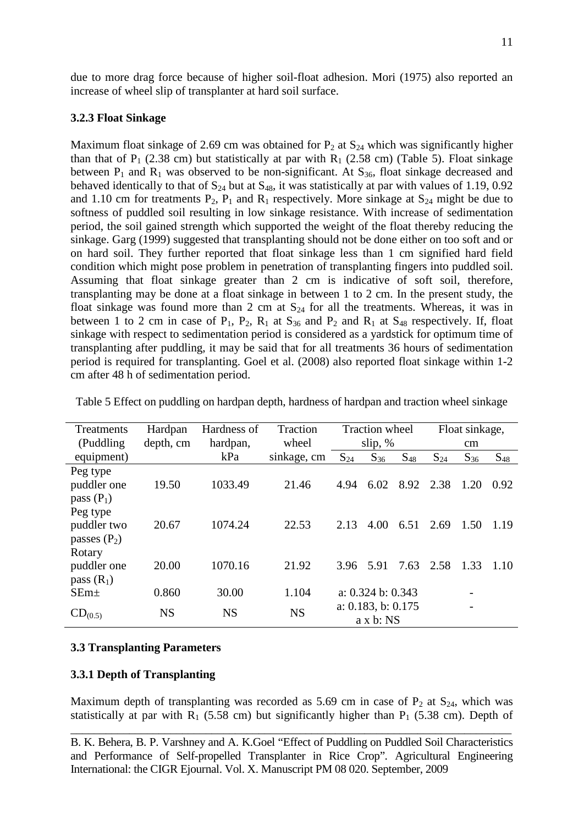due to more drag force because of higher soil-float adhesion. Mori (1975) also reported an increase of wheel slip of transplanter at hard soil surface.

## **3.2.3 Float Sinkage**

Maximum float sinkage of 2.69 cm was obtained for  $P_2$  at  $S_{24}$  which was significantly higher than that of  $P_1$  (2.38 cm) but statistically at par with  $R_1$  (2.58 cm) (Table 5). Float sinkage between  $P_1$  and  $R_1$  was observed to be non-significant. At  $S_{36}$ , float sinkage decreased and behaved identically to that of  $S_{24}$  but at  $S_{48}$ , it was statistically at par with values of 1.19, 0.92 and 1.10 cm for treatments  $P_2$ ,  $P_1$  and  $R_1$  respectively. More sinkage at  $S_{24}$  might be due to softness of puddled soil resulting in low sinkage resistance. With increase of sedimentation period, the soil gained strength which supported the weight of the float thereby reducing the sinkage. Garg (1999) suggested that transplanting should not be done either on too soft and or on hard soil. They further reported that float sinkage less than 1 cm signified hard field condition which might pose problem in penetration of transplanting fingers into puddled soil. Assuming that float sinkage greater than 2 cm is indicative of soft soil, therefore, transplanting may be done at a float sinkage in between 1 to 2 cm. In the present study, the float sinkage was found more than 2 cm at  $S_{24}$  for all the treatments. Whereas, it was in between 1 to 2 cm in case of  $P_1$ ,  $P_2$ ,  $R_1$  at  $S_{36}$  and  $P_2$  and  $R_1$  at  $S_{48}$  respectively. If, float sinkage with respect to sedimentation period is considered as a yardstick for optimum time of transplanting after puddling, it may be said that for all treatments 36 hours of sedimentation period is required for transplanting. Goel et al. (2008) also reported float sinkage within 1-2 cm after 48 h of sedimentation period.

| Treatments       | Hardpan   | Hardness of | Traction    | <b>Traction</b> wheel |                                              | Float sinkage, |          |          |          |
|------------------|-----------|-------------|-------------|-----------------------|----------------------------------------------|----------------|----------|----------|----------|
| (Puddling)       | depth, cm | hardpan,    | wheel       | slip, $%$             |                                              |                | cm       |          |          |
| equipment)       |           | kPa         | sinkage, cm | $S_{24}$              | $S_{36}$                                     | $S_{48}$       | $S_{24}$ | $S_{36}$ | $S_{48}$ |
| Peg type         |           |             |             |                       |                                              |                |          |          |          |
| puddler one      | 19.50     | 1033.49     | 21.46       | 4.94                  | 6.02                                         | 8.92           | 2.38     | 1.20     | 0.92     |
| pass $(P_1)$     |           |             |             |                       |                                              |                |          |          |          |
| Peg type         |           |             |             |                       |                                              |                |          |          |          |
| puddler two      | 20.67     | 1074.24     | 22.53       | 2.13                  | 4.00                                         | 6.51           | 2.69     | 1.50     | 1.19     |
| passes $(P_2)$   |           |             |             |                       |                                              |                |          |          |          |
| Rotary           |           |             |             |                       |                                              |                |          |          |          |
| puddler one      | 20.00     | 1070.16     | 21.92       |                       | 3.96 5.91                                    | 7.63           | 2.58     | 1.33     | 1.10     |
| pass $(R_1)$     |           |             |             |                       |                                              |                |          |          |          |
| SEm <sub>±</sub> | 0.860     | 30.00       | 1.104       |                       | a: $0.324$ b: $0.343$                        |                |          |          |          |
| $CD_{(0.5)}$     | <b>NS</b> | <b>NS</b>   | <b>NS</b>   |                       | a: $0.183$ , b: $0.175$<br>$a \times b$ : NS |                |          |          |          |

Table 5 Effect on puddling on hardpan depth, hardness of hardpan and traction wheel sinkage

## **3.3 Transplanting Parameters**

## **3.3.1 Depth of Transplanting**

Maximum depth of transplanting was recorded as 5.69 cm in case of  $P_2$  at  $S_{24}$ , which was statistically at par with  $R_1$  (5.58 cm) but significantly higher than  $P_1$  (5.38 cm). Depth of

B. K. Behera, B. P. Varshney and A. K.Goel "Effect of Puddling on Puddled Soil Characteristics and Performance of Self-propelled Transplanter in Rice Crop". Agricultural Engineering International: the CIGR Ejournal. Vol. X. Manuscript PM 08 020. September, 2009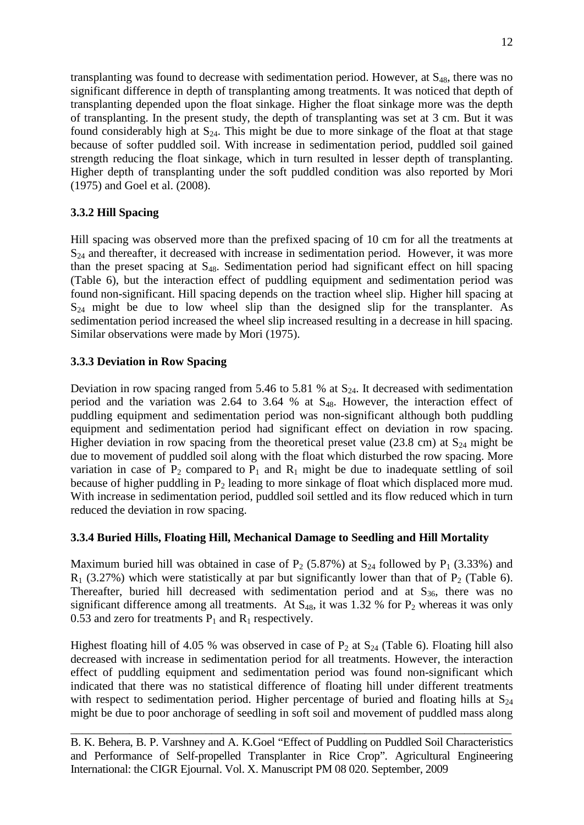transplanting was found to decrease with sedimentation period. However, at  $S_{48}$ , there was no significant difference in depth of transplanting among treatments. It was noticed that depth of transplanting depended upon the float sinkage. Higher the float sinkage more was the depth of transplanting. In the present study, the depth of transplanting was set at 3 cm. But it was found considerably high at  $S_{24}$ . This might be due to more sinkage of the float at that stage because of softer puddled soil. With increase in sedimentation period, puddled soil gained strength reducing the float sinkage, which in turn resulted in lesser depth of transplanting. Higher depth of transplanting under the soft puddled condition was also reported by Mori (1975) and Goel et al. (2008).

# **3.3.2 Hill Spacing**

Hill spacing was observed more than the prefixed spacing of 10 cm for all the treatments at  $S<sub>24</sub>$  and thereafter, it decreased with increase in sedimentation period. However, it was more than the preset spacing at  $S_{48}$ . Sedimentation period had significant effect on hill spacing (Table 6), but the interaction effect of puddling equipment and sedimentation period was found non-significant. Hill spacing depends on the traction wheel slip. Higher hill spacing at  $S_{24}$  might be due to low wheel slip than the designed slip for the transplanter. As sedimentation period increased the wheel slip increased resulting in a decrease in hill spacing. Similar observations were made by Mori (1975).

## **3.3.3 Deviation in Row Spacing**

Deviation in row spacing ranged from 5.46 to 5.81 % at  $S_{24}$ . It decreased with sedimentation period and the variation was 2.64 to 3.64 % at  $S_{48}$ . However, the interaction effect of puddling equipment and sedimentation period was non-significant although both puddling equipment and sedimentation period had significant effect on deviation in row spacing. Higher deviation in row spacing from the theoretical preset value (23.8 cm) at  $S_{24}$  might be due to movement of puddled soil along with the float which disturbed the row spacing. More variation in case of  $P_2$  compared to  $P_1$  and  $R_1$  might be due to inadequate settling of soil because of higher puddling in  $P_2$  leading to more sinkage of float which displaced more mud. With increase in sedimentation period, puddled soil settled and its flow reduced which in turn reduced the deviation in row spacing.

## **3.3.4 Buried Hills, Floating Hill, Mechanical Damage to Seedling and Hill Mortality**

Maximum buried hill was obtained in case of  $P_2$  (5.87%) at  $S_{24}$  followed by  $P_1$  (3.33%) and  $R_1$  (3.27%) which were statistically at par but significantly lower than that of  $P_2$  (Table 6). Thereafter, buried hill decreased with sedimentation period and at  $S_{36}$ , there was no significant difference among all treatments. At  $S_{48}$ , it was 1.32 % for  $P_2$  whereas it was only 0.53 and zero for treatments  $P_1$  and  $R_1$  respectively.

Highest floating hill of 4.05 % was observed in case of  $P_2$  at  $S_{24}$  (Table 6). Floating hill also decreased with increase in sedimentation period for all treatments. However, the interaction effect of puddling equipment and sedimentation period was found non-significant which indicated that there was no statistical difference of floating hill under different treatments with respect to sedimentation period. Higher percentage of buried and floating hills at  $S_{24}$ might be due to poor anchorage of seedling in soft soil and movement of puddled mass along

B. K. Behera, B. P. Varshney and A. K.Goel "Effect of Puddling on Puddled Soil Characteristics and Performance of Self-propelled Transplanter in Rice Crop". Agricultural Engineering International: the CIGR Ejournal. Vol. X. Manuscript PM 08 020. September, 2009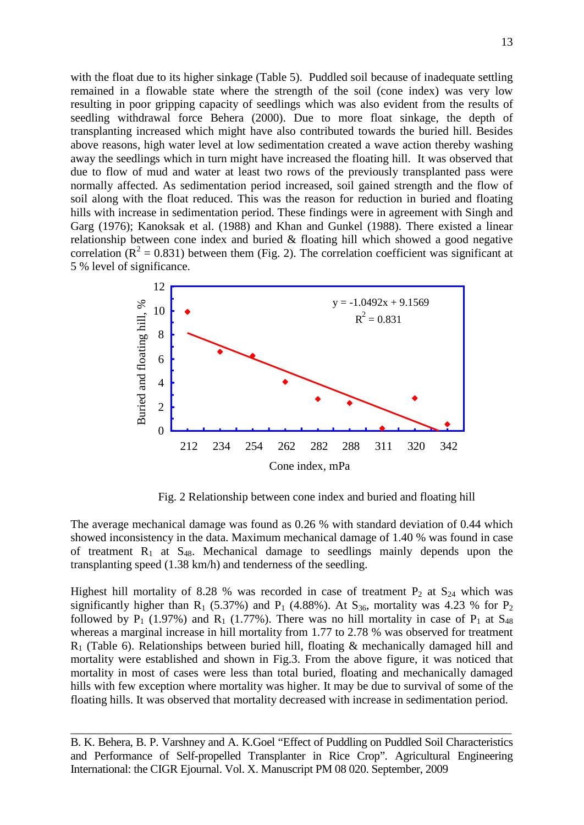with the float due to its higher sinkage (Table 5). Puddled soil because of inadequate settling remained in a flowable state where the strength of the soil (cone index) was very low resulting in poor gripping capacity of seedlings which was also evident from the results of seedling withdrawal force Behera (2000). Due to more float sinkage, the depth of transplanting increased which might have also contributed towards the buried hill. Besides above reasons, high water level at low sedimentation created a wave action thereby washing away the seedlings which in turn might have increased the floating hill. It was observed that due to flow of mud and water at least two rows of the previously transplanted pass were normally affected. As sedimentation period increased, soil gained strength and the flow of soil along with the float reduced. This was the reason for reduction in buried and floating hills with increase in sedimentation period. These findings were in agreement with Singh and Garg (1976); Kanoksak et al. (1988) and Khan and Gunkel (1988). There existed a linear relationship between cone index and buried & floating hill which showed a good negative correlation ( $R^2 = 0.831$ ) between them (Fig. 2). The correlation coefficient was significant at 5 % level of significance.



Fig. 2 Relationship between cone index and buried and floating hill

The average mechanical damage was found as 0.26 % with standard deviation of 0.44 which showed inconsistency in the data. Maximum mechanical damage of 1.40 % was found in case of treatment  $R_1$  at  $S_{48}$ . Mechanical damage to seedlings mainly depends upon the transplanting speed (1.38 km/h) and tenderness of the seedling.

Highest hill mortality of 8.28 % was recorded in case of treatment  $P_2$  at  $S_{24}$  which was significantly higher than R<sub>1</sub> (5.37%) and P<sub>1</sub> (4.88%). At S<sub>36</sub>, mortality was 4.23 % for P<sub>2</sub> followed by P<sub>1</sub> (1.97%) and R<sub>1</sub> (1.77%). There was no hill mortality in case of P<sub>1</sub> at S<sub>48</sub> whereas a marginal increase in hill mortality from 1.77 to 2.78 % was observed for treatment  $R_1$  (Table 6). Relationships between buried hill, floating  $\&$  mechanically damaged hill and mortality were established and shown in Fig.3. From the above figure, it was noticed that mortality in most of cases were less than total buried, floating and mechanically damaged hills with few exception where mortality was higher. It may be due to survival of some of the floating hills. It was observed that mortality decreased with increase in sedimentation period.

B. K. Behera, B. P. Varshney and A. K.Goel "Effect of Puddling on Puddled Soil Characteristics and Performance of Self-propelled Transplanter in Rice Crop". Agricultural Engineering International: the CIGR Ejournal. Vol. X. Manuscript PM 08 020. September, 2009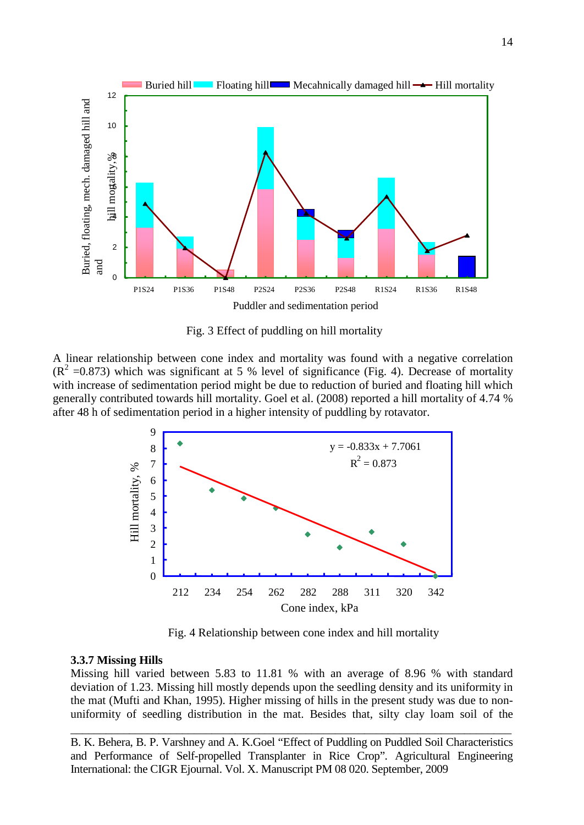

Fig. 3 Effect of puddling on hill mortality

A linear relationship between cone index and mortality was found with a negative correlation  $(R^2 = 0.873)$  which was significant at 5 % level of significance (Fig. 4). Decrease of mortality with increase of sedimentation period might be due to reduction of buried and floating hill which generally contributed towards hill mortality. Goel et al. (2008) reported a hill mortality of 4.74 % after 48 h of sedimentation period in a higher intensity of puddling by rotavator.



Fig. 4 Relationship between cone index and hill mortality

#### **3.3.7 Missing Hills**

Missing hill varied between 5.83 to 11.81 % with an average of 8.96 % with standard deviation of 1.23. Missing hill mostly depends upon the seedling density and its uniformity in the mat (Mufti and Khan, 1995). Higher missing of hills in the present study was due to nonuniformity of seedling distribution in the mat. Besides that, silty clay loam soil of the

B. K. Behera, B. P. Varshney and A. K.Goel "Effect of Puddling on Puddled Soil Characteristics and Performance of Self-propelled Transplanter in Rice Crop". Agricultural Engineering International: the CIGR Ejournal. Vol. X. Manuscript PM 08 020. September, 2009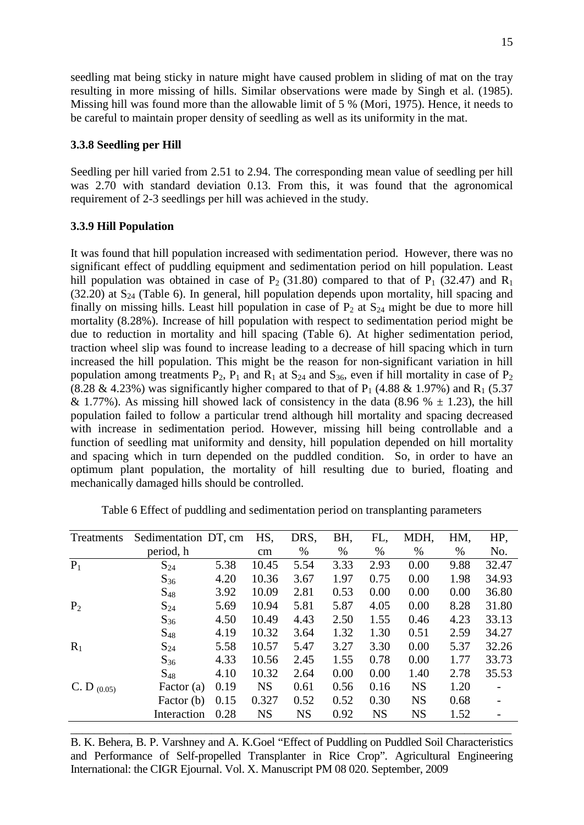seedling mat being sticky in nature might have caused problem in sliding of mat on the tray resulting in more missing of hills. Similar observations were made by Singh et al. (1985). Missing hill was found more than the allowable limit of 5 % (Mori, 1975). Hence, it needs to be careful to maintain proper density of seedling as well as its uniformity in the mat.

## **3.3.8 Seedling per Hill**

Seedling per hill varied from 2.51 to 2.94. The corresponding mean value of seedling per hill was 2.70 with standard deviation 0.13. From this, it was found that the agronomical requirement of 2-3 seedlings per hill was achieved in the study.

## **3.3.9 Hill Population**

It was found that hill population increased with sedimentation period. However, there was no significant effect of puddling equipment and sedimentation period on hill population. Least hill population was obtained in case of  $P_2$  (31.80) compared to that of  $P_1$  (32.47) and  $R_1$ (32.20) at  $S<sub>24</sub>$  (Table 6). In general, hill population depends upon mortality, hill spacing and finally on missing hills. Least hill population in case of  $P_2$  at  $S_{24}$  might be due to more hill mortality (8.28%). Increase of hill population with respect to sedimentation period might be due to reduction in mortality and hill spacing (Table 6). At higher sedimentation period, traction wheel slip was found to increase leading to a decrease of hill spacing which in turn increased the hill population. This might be the reason for non-significant variation in hill population among treatments  $P_2$ ,  $P_1$  and  $R_1$  at  $S_{24}$  and  $S_{36}$ , even if hill mortality in case of  $P_2$ (8.28 & 4.23%) was significantly higher compared to that of  $P_1$  (4.88 & 1.97%) and  $R_1$  (5.37 & 1.77%). As missing hill showed lack of consistency in the data (8.96 %  $\pm$  1.23), the hill population failed to follow a particular trend although hill mortality and spacing decreased with increase in sedimentation period. However, missing hill being controllable and a function of seedling mat uniformity and density, hill population depended on hill mortality and spacing which in turn depended on the puddled condition. So, in order to have an optimum plant population, the mortality of hill resulting due to buried, floating and mechanically damaged hills should be controlled.

| Treatments      | Sedimentation DT, cm |      | HS,       | DRS,      | BH,  | FL,       | MDH,      | HM,  | HP.   |
|-----------------|----------------------|------|-----------|-----------|------|-----------|-----------|------|-------|
|                 | period, h            |      | cm        | %         | $\%$ | $\%$      | $\%$      | %    | No.   |
| $P_1$           | $S_{24}$             | 5.38 | 10.45     | 5.54      | 3.33 | 2.93      | 0.00      | 9.88 | 32.47 |
|                 | $S_{36}$             | 4.20 | 10.36     | 3.67      | 1.97 | 0.75      | 0.00      | 1.98 | 34.93 |
|                 | $S_{48}$             | 3.92 | 10.09     | 2.81      | 0.53 | 0.00      | 0.00      | 0.00 | 36.80 |
| P <sub>2</sub>  | $S_{24}$             | 5.69 | 10.94     | 5.81      | 5.87 | 4.05      | 0.00      | 8.28 | 31.80 |
|                 | $S_{36}$             | 4.50 | 10.49     | 4.43      | 2.50 | 1.55      | 0.46      | 4.23 | 33.13 |
|                 | $S_{48}$             | 4.19 | 10.32     | 3.64      | 1.32 | 1.30      | 0.51      | 2.59 | 34.27 |
| $R_1$           | $S_{24}$             | 5.58 | 10.57     | 5.47      | 3.27 | 3.30      | 0.00      | 5.37 | 32.26 |
|                 | $S_{36}$             | 4.33 | 10.56     | 2.45      | 1.55 | 0.78      | 0.00      | 1.77 | 33.73 |
|                 | $S_{48}$             | 4.10 | 10.32     | 2.64      | 0.00 | 0.00      | 1.40      | 2.78 | 35.53 |
| $C. D_{(0.05)}$ | Factor $(a)$         | 0.19 | <b>NS</b> | 0.61      | 0.56 | 0.16      | <b>NS</b> | 1.20 |       |
|                 | Factor (b)           | 0.15 | 0.327     | 0.52      | 0.52 | 0.30      | <b>NS</b> | 0.68 |       |
|                 | Interaction          | 0.28 | <b>NS</b> | <b>NS</b> | 0.92 | <b>NS</b> | <b>NS</b> | 1.52 |       |
|                 |                      |      |           |           |      |           |           |      |       |

Table 6 Effect of puddling and sedimentation period on transplanting parameters

B. K. Behera, B. P. Varshney and A. K.Goel "Effect of Puddling on Puddled Soil Characteristics and Performance of Self-propelled Transplanter in Rice Crop". Agricultural Engineering International: the CIGR Ejournal. Vol. X. Manuscript PM 08 020. September, 2009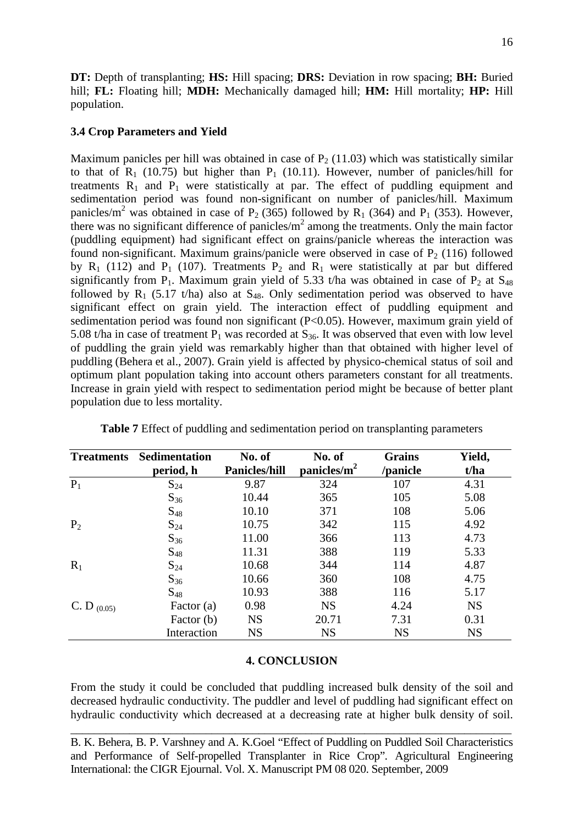**DT:** Depth of transplanting; **HS:** Hill spacing; **DRS:** Deviation in row spacing; **BH:** Buried hill; **FL:** Floating hill; **MDH:** Mechanically damaged hill; **HM:** Hill mortality; **HP:** Hill population.

# **3.4 Crop Parameters and Yield**

Maximum panicles per hill was obtained in case of  $P_2$  (11.03) which was statistically similar to that of  $R_1$  (10.75) but higher than  $P_1$  (10.11). However, number of panicles/hill for treatments  $R_1$  and  $P_1$  were statistically at par. The effect of puddling equipment and sedimentation period was found non-significant on number of panicles/hill. Maximum panicles/m<sup>2</sup> was obtained in case of P<sub>2</sub> (365) followed by R<sub>1</sub> (364) and P<sub>1</sub> (353). However, there was no significant difference of panicles/ $m<sup>2</sup>$  among the treatments. Only the main factor (puddling equipment) had significant effect on grains/panicle whereas the interaction was found non-significant. Maximum grains/panicle were observed in case of  $P_2$  (116) followed by  $R_1$  (112) and  $P_1$  (107). Treatments  $P_2$  and  $R_1$  were statistically at par but differed significantly from  $P_1$ . Maximum grain yield of 5.33 t/ha was obtained in case of  $P_2$  at  $S_{48}$ followed by  $R_1$  (5.17 t/ha) also at  $S_{48}$ . Only sedimentation period was observed to have significant effect on grain yield. The interaction effect of puddling equipment and sedimentation period was found non significant (P<0.05). However, maximum grain yield of 5.08 t/ha in case of treatment  $P_1$  was recorded at  $S_{36}$ . It was observed that even with low level of puddling the grain yield was remarkably higher than that obtained with higher level of puddling (Behera et al., 2007). Grain yield is affected by physico-chemical status of soil and optimum plant population taking into account others parameters constant for all treatments. Increase in grain yield with respect to sedimentation period might be because of better plant population due to less mortality.

| <b>Treatments</b> | <b>Sedimentation</b> | No. of               | No. of                  | <b>Grains</b> | Yield,    |
|-------------------|----------------------|----------------------|-------------------------|---------------|-----------|
|                   | period, h            | <b>Panicles/hill</b> | panicles/m <sup>2</sup> | /panicle      | t/ha      |
| $P_1$             | $S_{24}$             | 9.87                 | 324                     | 107           | 4.31      |
|                   | $S_{36}$             | 10.44                | 365                     | 105           | 5.08      |
|                   | $S_{48}$             | 10.10                | 371                     | 108           | 5.06      |
| P <sub>2</sub>    | $S_{24}$             | 10.75                | 342                     | 115           | 4.92      |
|                   | $S_{36}$             | 11.00                | 366                     | 113           | 4.73      |
|                   | $S_{48}$             | 11.31                | 388                     | 119           | 5.33      |
| $R_1$             | $S_{24}$             | 10.68                | 344                     | 114           | 4.87      |
|                   | $S_{36}$             | 10.66                | 360                     | 108           | 4.75      |
|                   | $S_{48}$             | 10.93                | 388                     | 116           | 5.17      |
| $C. D_{(0.05)}$   | Factor (a)           | 0.98                 | <b>NS</b>               | 4.24          | <b>NS</b> |
|                   | Factor (b)           | <b>NS</b>            | 20.71                   | 7.31          | 0.31      |
|                   | Interaction          | <b>NS</b>            | <b>NS</b>               | <b>NS</b>     | <b>NS</b> |

## **4. CONCLUSION**

From the study it could be concluded that puddling increased bulk density of the soil and decreased hydraulic conductivity. The puddler and level of puddling had significant effect on hydraulic conductivity which decreased at a decreasing rate at higher bulk density of soil.

B. K. Behera, B. P. Varshney and A. K.Goel "Effect of Puddling on Puddled Soil Characteristics and Performance of Self-propelled Transplanter in Rice Crop". Agricultural Engineering International: the CIGR Ejournal. Vol. X. Manuscript PM 08 020. September, 2009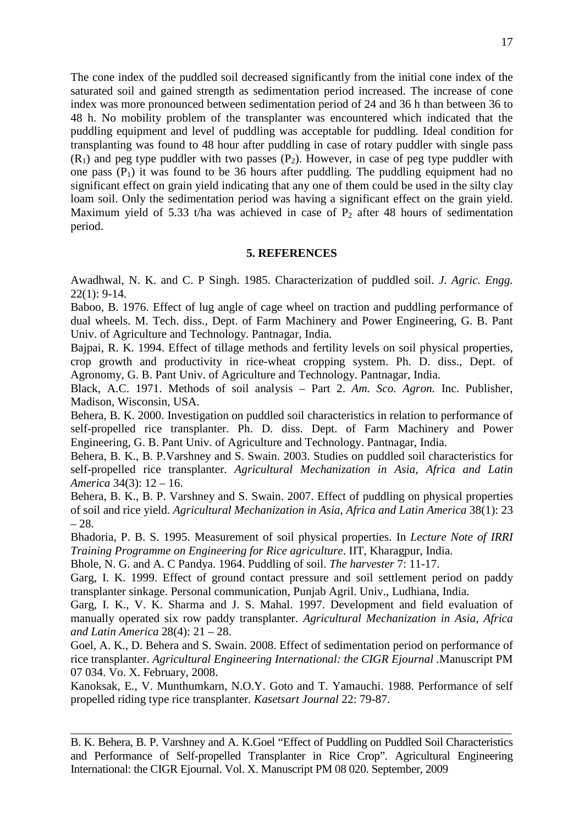The cone index of the puddled soil decreased significantly from the initial cone index of the saturated soil and gained strength as sedimentation period increased. The increase of cone index was more pronounced between sedimentation period of 24 and 36 h than between 36 to 48 h. No mobility problem of the transplanter was encountered which indicated that the puddling equipment and level of puddling was acceptable for puddling. Ideal condition for transplanting was found to 48 hour after puddling in case of rotary puddler with single pass  $(R<sub>1</sub>)$  and peg type puddler with two passes  $(P<sub>2</sub>)$ . However, in case of peg type puddler with one pass  $(P_1)$  it was found to be 36 hours after puddling. The puddling equipment had no significant effect on grain yield indicating that any one of them could be used in the silty clay loam soil. Only the sedimentation period was having a significant effect on the grain yield. Maximum yield of 5.33 t/ha was achieved in case of  $P_2$  after 48 hours of sedimentation period.

#### **5. REFERENCES**

Awadhwal, N. K. and C. P Singh. 1985. Characterization of puddled soil. *J. Agric. Engg.* 22(1): 9-14.

Baboo, B. 1976. Effect of lug angle of cage wheel on traction and puddling performance of dual wheels. M. Tech. diss., Dept. of Farm Machinery and Power Engineering, G. B. Pant Univ. of Agriculture and Technology. Pantnagar, India.

Bajpai, R. K. 1994. Effect of tillage methods and fertility levels on soil physical properties, crop growth and productivity in rice-wheat cropping system. Ph. D. diss., Dept. of Agronomy, G. B. Pant Univ. of Agriculture and Technology. Pantnagar, India.

Black, A.C. 1971. Methods of soil analysis – Part 2. *Am. Sco. Agron.* Inc. Publisher, Madison, Wisconsin, USA.

Behera, B. K. 2000. Investigation on puddled soil characteristics in relation to performance of self-propelled rice transplanter. Ph. D. diss. Dept. of Farm Machinery and Power Engineering, G. B. Pant Univ. of Agriculture and Technology. Pantnagar, India.

Behera, B. K., B. P.Varshney and S. Swain. 2003. Studies on puddled soil characteristics for self-propelled rice transplanter. *Agricultural Mechanization in Asia, Africa and Latin America* 34(3): 12 – 16.

Behera, B. K., B. P. Varshney and S. Swain. 2007. Effect of puddling on physical properties of soil and rice yield. *Agricultural Mechanization in Asia, Africa and Latin America* 38(1): 23  $-28.$ 

Bhadoria, P. B. S. 1995. Measurement of soil physical properties. In *Lecture Note of IRRI Training Programme on Engineering for Rice agriculture*. IIT, Kharagpur, India.

Bhole, N. G. and A. C Pandya. 1964. Puddling of soil. *The harvester* 7: 11-17.

Garg, I. K. 1999. Effect of ground contact pressure and soil settlement period on paddy transplanter sinkage. Personal communication, Punjab Agril. Univ., Ludhiana, India.

Garg, I. K., V. K. Sharma and J. S. Mahal. 1997. Development and field evaluation of manually operated six row paddy transplanter. *Agricultural Mechanization in Asia, Africa and Latin America* 28(4): 21 – 28.

Goel, A. K., D. Behera and S. Swain. 2008. Effect of sedimentation period on performance of rice transplanter. *Agricultural Engineering International: the CIGR Ejournal .*Manuscript PM 07 034. Vo. X. February, 2008.

Kanoksak, E*.*, V. Munthumkarn, N.O.Y. Goto and T. Yamauchi. 1988. Performance of self propelled riding type rice transplanter. *Kasetsart Journal* 22: 79-87.

B. K. Behera, B. P. Varshney and A. K.Goel "Effect of Puddling on Puddled Soil Characteristics and Performance of Self-propelled Transplanter in Rice Crop". Agricultural Engineering International: the CIGR Ejournal. Vol. X. Manuscript PM 08 020. September, 2009